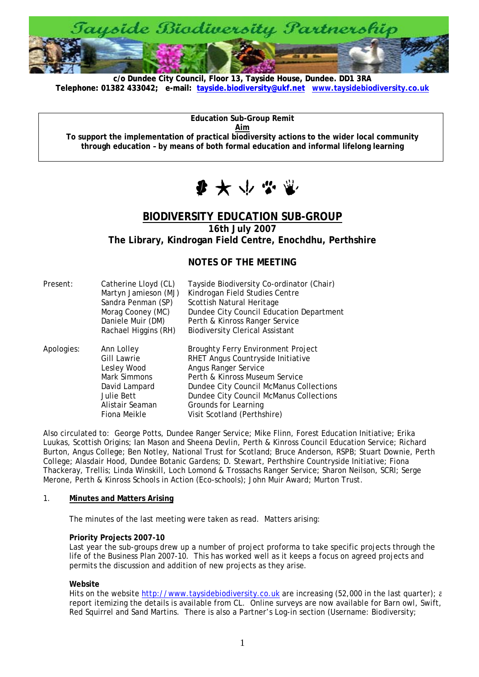

**c/o Dundee City Council, Floor 13, Tayside House, Dundee. DD1 3RA [Telephone: 01382 433042; e-mail: tayside.biodiversity@ukf.net](mailto:tayside.biodiversity@ukf.net) www.taysidebiodiversity.co.u[k](http://www.taysidebiodiversity.co.uk/)**

**Aim To support the implementation of practical biodiversity actions to the wider local community through education – by means of both formal education and informal lifelong learning** 

**Education Sub-Group Remit** 



# **BIODIVERSITY EDUCATION SUB-GROUP**

**16th July 2007** 

**The Library, Kindrogan Field Centre, Enochdhu, Perthshire** 

# **NOTES OF THE MEETING**

| Present:   | Catherine Lloyd (CL) | Tayside Biodiversity Co-ordinator (Chair) |
|------------|----------------------|-------------------------------------------|
|            | Martyn Jamieson (MJ) | Kindrogan Field Studies Centre            |
|            | Sandra Penman (SP)   | Scottish Natural Heritage                 |
|            | Morag Cooney (MC)    | Dundee City Council Education Department  |
|            | Daniele Muir (DM)    | Perth & Kinross Ranger Service            |
|            | Rachael Higgins (RH) | <b>Biodiversity Clerical Assistant</b>    |
| Apologies: | Ann Lolley           | <b>Broughty Ferry Environment Project</b> |
|            | <b>Gill Lawrie</b>   | RHET Angus Countryside Initiative         |
|            | Lesley Wood          | Angus Ranger Service                      |
|            | Mark Simmons         | Perth & Kinross Museum Service            |
|            | David Lampard        | Dundee City Council McManus Collections   |
|            | Julie Bett           | Dundee City Council McManus Collections   |
|            | Alistair Seaman      | Grounds for Learning                      |
|            | Fiona Meikle         | Visit Scotland (Perthshire)               |

Also circulated to: George Potts, Dundee Ranger Service; Mike Flinn, Forest Education Initiative; Erika Luukas, Scottish Origins; Ian Mason and Sheena Devlin, Perth & Kinross Council Education Service; Richard Burton, Angus College; Ben Notley, National Trust for Scotland; Bruce Anderson, RSPB; Stuart Downie, Perth College; Alasdair Hood, Dundee Botanic Gardens; D. Stewart, Perthshire Countryside Initiative; Fiona Thackeray, Trellis; Linda Winskill, Loch Lomond & Trossachs Ranger Service; Sharon Neilson, SCRI; Serge Merone, Perth & Kinross Schools in Action (Eco-schools); John Muir Award; Murton Trust.

#### 1. **Minutes and Matters Arising**

The minutes of the last meeting were taken as read. Matters arising:

#### **Priority Projects 2007-10**

Last year the sub-groups drew up a number of project proforma to take specific projects through the life of the Business Plan 2007-10. This has worked well as it keeps a focus on agreed projects and permits the discussion and addition of new projects as they arise.

#### **Website**

Hits on the website [http://www.taysidebiodiversity.co.uk](http://www.taysidebiodiversity.co.uk/) are increasing (52,000 in the last quarter); a report itemizing the details is available from CL. Online surveys are now available for Barn owl, Swift, Red Squirrel and Sand Martins. There is also a Partner's Log-in section (Username: Biodiversity;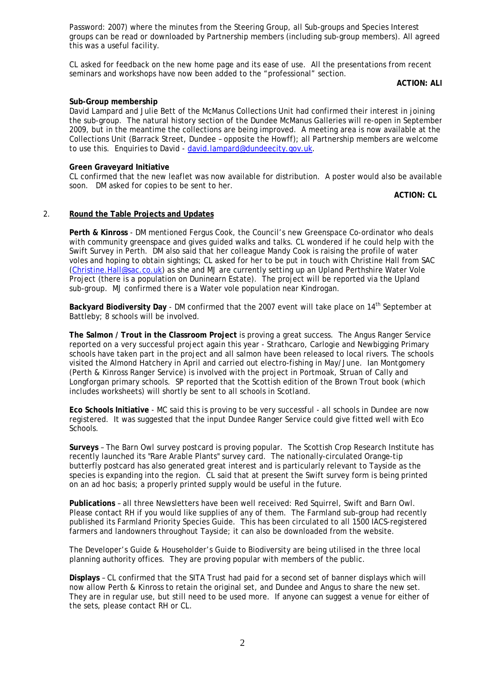Password: 2007) where the minutes from the Steering Group, all Sub-groups and Species Interest groups can be read or downloaded by Partnership members (including sub-group members). All agreed this was a useful facility.

CL asked for feedback on the new home page and its ease of use. All the presentations from recent seminars and workshops have now been added to the "professional" section.

**ACTION: ALL**

### **Sub-Group membership**

David Lampard and Julie Bett of the McManus Collections Unit had confirmed their interest in joining the sub-group. The natural history section of the Dundee McManus Galleries will re-open in September 2009, but in the meantime the collections are being improved. A meeting area is now available at the Collections Unit (Barrack Street, Dundee – opposite the Howff); all Partnership members are welcome to use this. Enquiries to David - [david.lampard@dundeecity.gov.uk](mailto:david.lampard@dundeecity.gov.uk).

### **Green Graveyard Initiative**

CL confirmed that the new leaflet was now available for distribution. A poster would also be available soon. DM asked for copies to be sent to her.

**ACTION: CL**

# 2. **Round the Table Projects and Updates**

**Perth & Kinross** - DM mentioned Fergus Cook, the Council's new Greenspace Co-ordinator who deals with community greenspace and gives guided walks and talks. CL wondered if he could help with the Swift Survey in Perth. DM also said that her colleague Mandy Cook is raising the profile of water voles and hoping to obtain sightings; CL asked for her to be put in touch with Christine Hall from SAC ([Christine.Hall@sac.co.uk](mailto:Christine.Hall@sac.co.uk)) as she and MJ are currently setting up an Upland Perthshire Water Vole Project (there is a population on Duninearn Estate). The project will be reported via the Upland sub-group. MJ confirmed there is a Water vole population near Kindrogan.

**Backyard Biodiversity Day** - DM confirmed that the 2007 event will take place on 14<sup>th</sup> September at Battleby; 8 schools will be involved.

**The Salmon / Trout in the Classroom Project** is proving a great success. The Angus Ranger Service reported on a very successful project again this year - Strathcaro, Carlogie and Newbigging Primary schools have taken part in the project and all salmon have been released to local rivers. The schools visited the Almond Hatchery in April and carried out electro-fishing in May/June. Ian Montgomery (Perth & Kinross Ranger Service) is involved with the project in Portmoak, Struan of Cally and Longforgan primary schools. SP reported that the Scottish edition of the Brown Trout book (which includes worksheets) will shortly be sent to all schools in Scotland.

**Eco Schools Initiative** - MC said this is proving to be very successful - all schools in Dundee are now registered. It was suggested that the input Dundee Ranger Service could give fitted well with Eco Schools.

**Surveys** – The Barn Owl survey postcard is proving popular. The Scottish Crop Research Institute has recently launched its "Rare Arable Plants" survey card. The nationally-circulated Orange-tip butterfly postcard has also generated great interest and is particularly relevant to Tayside as the species is expanding into the region. CL said that at present the Swift survey form is being printed on an ad hoc basis; a properly printed supply would be useful in the future.

**Publications** – all three Newsletters have been well received: Red Squirrel, Swift and Barn Owl. Please contact RH if you would like supplies of any of them. The Farmland sub-group had recently published its Farmland Priority Species Guide. This has been circulated to all 1500 IACS-registered farmers and landowners throughout Tayside; it can also be downloaded from the website.

The Developer's Guide & Householder's Guide to Biodiversity are being utilised in the three local planning authority offices. They are proving popular with members of the public.

**Displays** – CL confirmed that the SITA Trust had paid for a second set of banner displays which will now allow Perth & Kinross to retain the original set, and Dundee and Angus to share the new set. They are in regular use, but still need to be used more. If anyone can suggest a venue for either of the sets, please contact RH or CL.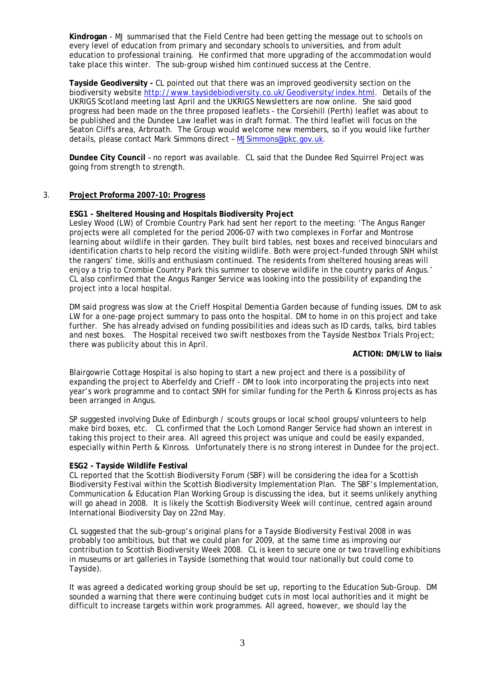**Kindrogan** - MJ summarised that the Field Centre had been getting the message out to schools on every level of education from primary and secondary schools to universities, and from adult education to professional training. He confirmed that more upgrading of the accommodation would take place this winter. The sub-group wished him continued success at the Centre.

**Tayside Geodiversity -** CL pointed out that there was an improved geodiversity section on the biodiversity website<http://www.taysidebiodiversity.co.uk/Geodiversity/index.html>. Details of the UKRIGS Scotland meeting last April and the UKRIGS Newsletters are now online. She said good progress had been made on the three proposed leaflets - the Corsiehill (Perth) leaflet was about to be published and the Dundee Law leaflet was in draft format. The third leaflet will focus on the Seaton Cliffs area, Arbroath. The Group would welcome new members, so if you would like further details, please contact Mark Simmons direct – [MJSimmons@pkc.gov.uk.](mailto:MJSimmons@pkc.gov.uk)

**Dundee City Council** – no report was available. CL said that the Dundee Red Squirrel Project was going from strength to strength.

### 3. **Project Proforma 2007-10: Progress**

### **ESG1 - Sheltered Housing and Hospitals Biodiversity Project**

Lesley Wood (LW) of Crombie Country Park had sent her report to the meeting: 'The Angus Ranger projects were all completed for the period 2006-07 with two complexes in Forfar and Montrose learning about wildlife in their garden. They built bird tables, nest boxes and received binoculars and identification charts to help record the visiting wildlife. Both were project-funded through SNH whilst the rangers' time, skills and enthusiasm continued. The residents from sheltered housing areas will enjoy a trip to Crombie Country Park this summer to observe wildlife in the country parks of Angus.' CL also confirmed that the Angus Ranger Service was looking into the possibility of expanding the project into a local hospital.

DM said progress was slow at the Crieff Hospital Dementia Garden because of funding issues. DM to ask LW for a one-page project summary to pass onto the hospital. DM to home in on this project and take further. She has already advised on funding possibilities and ideas such as ID cards, talks, bird tables and nest boxes. The Hospital received two swift nestboxes from the Tayside Nestbox Trials Project; there was publicity about this in April.

#### **ACTION: DM/LW to liaise**

Blairgowrie Cottage Hospital is also hoping to start a new project and there is a possibility of expanding the project to Aberfeldy and Crieff - DM to look into incorporating the projects into next year's work programme and to contact SNH for similar funding for the Perth & Kinross projects as has been arranged in Angus.

SP suggested involving Duke of Edinburgh / scouts groups or local school groups/volunteers to help make bird boxes, etc. CL confirmed that the Loch Lomond Ranger Service had shown an interest in taking this project to their area. All agreed this project was unique and could be easily expanded, especially within Perth & Kinross. Unfortunately there is no strong interest in Dundee for the project.

#### **ESG2 - Tayside Wildlife Festival**

CL reported that the Scottish Biodiversity Forum (SBF) will be considering the idea for a Scottish Biodiversity Festival within the Scottish Biodiversity Implementation Plan. The SBF's Implementation, Communication & Education Plan Working Group is discussing the idea, but it seems unlikely anything will go ahead in 2008. It is likely the Scottish Biodiversity Week will continue, centred again around International Biodiversity Day on 22nd May.

CL suggested that the sub-group's original plans for a Tayside Biodiversity Festival 2008 in was probably too ambitious, but that we could plan for 2009, at the same time as improving our contribution to Scottish Biodiversity Week 2008. CL is keen to secure one or two travelling exhibitions in museums or art galleries in Tayside (something that would tour nationally but could come to Tayside).

It was agreed a dedicated working group should be set up, reporting to the Education Sub-Group. DM sounded a warning that there were continuing budget cuts in most local authorities and it might be difficult to increase targets within work programmes. All agreed, however, we should lay the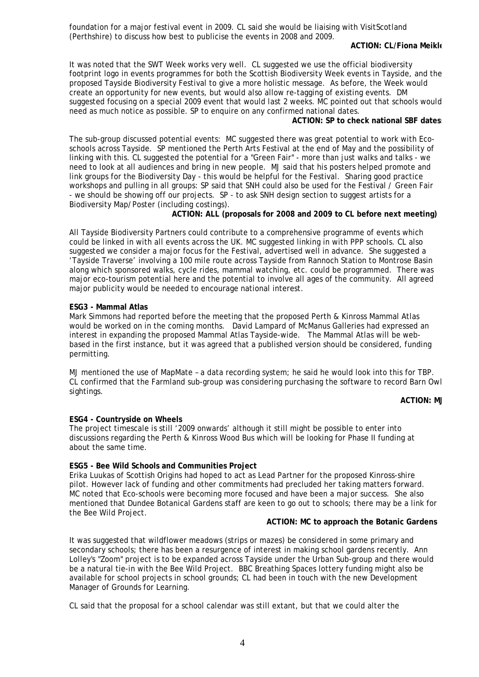foundation for a major festival event in 2009. CL said she would be liaising with VisitScotland (Perthshire) to discuss how best to publicise the events in 2008 and 2009.

#### **ACTION: CL/Fiona Meikle**

It was noted that the SWT Week works very well. CL suggested we use the official biodiversity footprint logo in events programmes for both the Scottish Biodiversity Week events in Tayside, and the proposed Tayside Biodiversity Festival to give a more holistic message. As before, the Week would create an opportunity for new events, but would also allow re-tagging of existing events. DM suggested focusing on a special 2009 event that would last 2 weeks. MC pointed out that schools would need as much notice as possible. SP to enquire on any confirmed national dates.

**ACTION: SP to check national SBF datess**

The sub-group discussed potential events: MC suggested there was great potential to work with Ecoschools across Tayside. SP mentioned the Perth Arts Festival at the end of May and the possibility of linking with this. CL suggested the potential for a "Green Fair" - more than just walks and talks - we need to look at all audiences and bring in new people. MJ said that his posters helped promote and link groups for the Biodiversity Day - this would be helpful for the Festival. Sharing good practice workshops and pulling in all groups: SP said that SNH could also be used for the Festival / Green Fair - we should be showing off our projects. SP - to ask SNH design section to suggest artists for a Biodiversity Map/Poster (including costings).

**ACTION: ALL (proposals for 2008 and 2009 to CL before next meeting)** 

All Tayside Biodiversity Partners could contribute to a comprehensive programme of events which could be linked in with all events across the UK. MC suggested linking in with PPP schools. CL also suggested we consider a major focus for the Festival, advertised well in advance. She suggested a 'Tayside Traverse' involving a 100 mile route across Tayside from Rannoch Station to Montrose Basin along which sponsored walks, cycle rides, mammal watching, etc. could be programmed. There was major eco-tourism potential here and the potential to involve all ages of the community. All agreed major publicity would be needed to encourage national interest.

#### **ESG3 - Mammal Atlas**

Mark Simmons had reported before the meeting that the proposed Perth & Kinross Mammal Atlas would be worked on in the coming months. David Lampard of McManus Galleries had expressed an interest in expanding the proposed Mammal Atlas Tayside-wide. The Mammal Atlas will be webbased in the first instance, but it was agreed that a published version should be considered, funding permitting.

MJ mentioned the use of MapMate – a data recording system; he said he would look into this for TBP. CL confirmed that the Farmland sub-group was considering purchasing the software to record Barn Owl sightings.

**ACTION: M.** 

#### **ESG4 - Countryside on Wheels**

The project timescale is still '2009 onwards' although it still might be possible to enter into discussions regarding the Perth & Kinross Wood Bus which will be looking for Phase II funding at about the same time.

#### **ESG5 - Bee Wild Schools and Communities Project**

Erika Luukas of Scottish Origins had hoped to act as Lead Partner for the proposed Kinross-shire pilot. However lack of funding and other commitments had precluded her taking matters forward. MC noted that Eco-schools were becoming more focused and have been a major success. She also mentioned that Dundee Botanical Gardens staff are keen to go out to schools; there may be a link for the Bee Wild Project.

#### **ACTION: MC to approach the Botanic Gardens**

It was suggested that wildflower meadows (strips or mazes) be considered in some primary and secondary schools; there has been a resurgence of interest in making school gardens recently. Ann Lolley's "Zoom" project is to be expanded across Tayside under the Urban Sub-group and there would be a natural tie-in with the Bee Wild Project. BBC Breathing Spaces lottery funding might also be available for school projects in school grounds; CL had been in touch with the new Development Manager of Grounds for Learning.

CL said that the proposal for a school calendar was still extant, but that we could alter the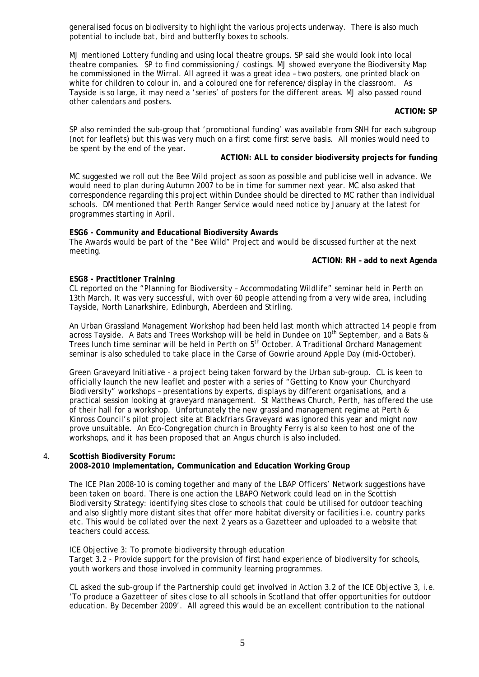generalised focus on biodiversity to highlight the various projects underway. There is also much potential to include bat, bird and butterfly boxes to schools.

MJ mentioned Lottery funding and using local theatre groups. SP said she would look into local theatre companies. SP to find commissioning / costings. MJ showed everyone the Biodiversity Map he commissioned in the Wirral. All agreed it was a great idea – two posters, one printed black on white for children to colour in, and a coloured one for reference/display in the classroom. As Tayside is so large, it may need a 'series' of posters for the different areas. MJ also passed round other calendars and posters.

### **ACTION: SP**

SP also reminded the sub-group that 'promotional funding' was available from SNH for each subgroup (not for leaflets) but this was very much on a first come first serve basis. All monies would need to be spent by the end of the year.

# **ACTION: ALL to consider biodiversity projects for funding**

MC suggested we roll out the Bee Wild project as soon as possible and publicise well in advance. We would need to plan during Autumn 2007 to be in time for summer next year. MC also asked that correspondence regarding this project within Dundee should be directed to MC rather than individual schools. DM mentioned that Perth Ranger Service would need notice by January at the latest for programmes starting in April.

### **ESG6 - Community and Educational Biodiversity Awards**

The Awards would be part of the "Bee Wild" Project and would be discussed further at the next meeting.

### **ACTION: RH – add to next Agenda**

# **ESG8 - Practitioner Training**

CL reported on the "Planning for Biodiversity – Accommodating Wildlife" seminar held in Perth on 13th March. It was very successful, with over 60 people attending from a very wide area, including Tayside, North Lanarkshire, Edinburgh, Aberdeen and Stirling.

An Urban Grassland Management Workshop had been held last month which attracted 14 people from across Tayside. A Bats and Trees Workshop will be held in Dundee on 10<sup>th</sup> September, and a Bats & Trees lunch time seminar will be held in Perth on 5<sup>th</sup> October. A Traditional Orchard Management seminar is also scheduled to take place in the Carse of Gowrie around Apple Day (mid-October).

Green Graveyard Initiative - a project being taken forward by the Urban sub-group. CL is keen to officially launch the new leaflet and poster with a series of "Getting to Know your Churchyard Biodiversity" workshops – presentations by experts, displays by different organisations, and a practical session looking at graveyard management. St Matthews Church, Perth, has offered the use of their hall for a workshop. Unfortunately the new grassland management regime at Perth & Kinross Council's pilot project site at Blackfriars Graveyard was ignored this year and might now prove unsuitable. An Eco-Congregation church in Broughty Ferry is also keen to host one of the workshops, and it has been proposed that an Angus church is also included.

#### **Scottish Biodiversity Forum:**  4.

# **2008-2010 Implementation, Communication and Education Working Group**

The ICE Plan 2008-10 is coming together and many of the LBAP Officers' Network suggestions have been taken on board. There is one action the LBAPO Network could lead on in the Scottish Biodiversity Strategy: identifying sites close to schools that could be utilised for outdoor teaching and also slightly more distant sites that offer more habitat diversity or facilities i.e. country parks etc. This would be collated over the next 2 years as a Gazetteer and uploaded to a website that teachers could access.

ICE Objective 3: To promote biodiversity through education Target 3.2 - Provide support for the provision of first hand experience of biodiversity for schools, youth workers and those involved in community learning programmes.

CL asked the sub-group if the Partnership could get involved in Action 3.2 of the ICE Objective 3, i.e. 'To produce a Gazetteer of sites close to all schools in Scotland that offer opportunities for outdoor education. By December 2009'. All agreed this would be an excellent contribution to the national